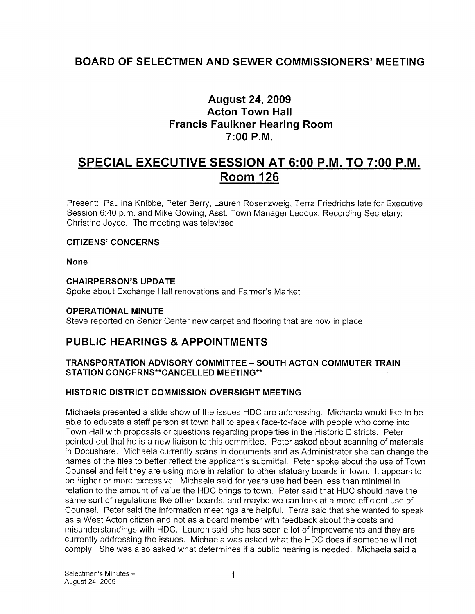## BOARD OF SELECTMEN AND SEWER COMMISSIONERS' MEETING

## August 24, 2009 Acton Town Hall Francis Faulkner Hearing Room 7:00 P.M.

# SPECIAL EXECUTIVE SESSION AT 6:00 P.M. TO 7:00 P.M. Room 126

Present: Paulina Knibbe, Peter Berry, Lauren Rosenzweig, Terra Friedrichs late for Executive Session 6:40 p.m. and Mike Gowing, Asst. Town Manager Ledoux, Recording Secretary; Christine Joyce. The meeting was televised.

### CITIZENS' CONCERNS

None

## CHAIRPERSON'S UPDATE

Spoke about Exchange Hall renovations and Farmer's Market

## OPERATIONAL MINUTE

Steve reported on Senior Center new carpet and flooring that are now in place

## PUBLIC HEARINGS & APPOINTMENTS

## TRANSPORTATION ADVISORY COMMITTEE - SOUTH ACTON COMMUTER TRAIN STATION CONCERNS\*\*CANCELLED MEETING\*\*

## HISTORIC DISTRICT COMMISSION OVERSIGHT MEETING

Michaela presented a slide show of the issues HDC are addressing. Michaela would like to be able to educate a staff person at town hall to speak face-to-face with people who come into Town Hall with proposals or questions regarding properties in the Historic Districts. Peter pointed out that he is a new liaison to this committee. Peter asked about scanning of materials in Docushare. Michaela currently scans in documents and as Administrator she can change the names of the files to better reflect the applicant's submittal. Peter spoke about the use of Town Counsel and felt they are using more in relation to other statuary boards in town. It appears to be higher or more excessive. Michaela said for years use had been less than minimal in relation to the amount of value the HDC brings to town. Peter said that HDC should have the same sort of regulations like other boards, and maybe we can look at a more efficient use of Counsel. Peter said the information meetings are helpful. Terra said that she wanted to speak as a West Acton citizen and not as a board member with feedback about the costs and misunderstandings with HDC. Lauren said she has seen a lot of improvements and they are currently addressing the issues. Michaela was asked what the HDC does if someone will not comply. She was also asked what determines if a public hearing is needed. Michaela said a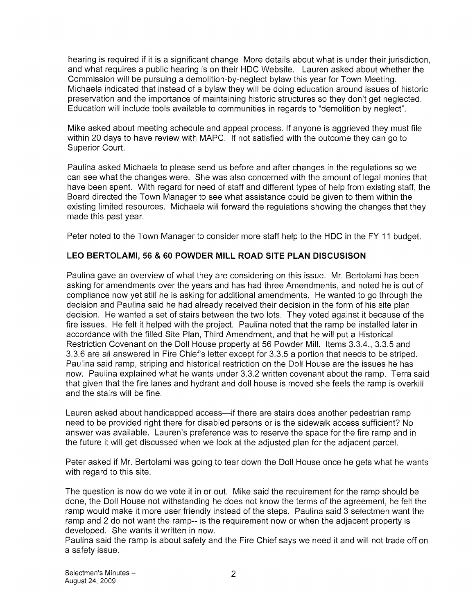hearing is required if it is a significant change More details about what is under their jurisdiction, and what requires a public hearing is on their HDC Website. Lauren asked about whether the Commission will be pursuing a demolition-by-neglect bylaw this year for Town Meeting. Michaela indicated that instead of a bylaw they will be doing education around issues of historic preservation and the importance of maintaining historic structures so they don't get neglected. Education will include tools available to communities in regards to "demolition by neglect".

Mike asked about meeting schedule and appeal process. If anyone is aggrieved they must file within 20 days to have review with MAPC. If not satisfied with the outcome they can go to Superior Court.

Paulina asked Michaela to please send us before and after changes in the regulations so we can see what the changes were. She was also concerned with the amount of legal monies that have been spent. With regard for need of staff and different types of help from existing staff, the Board directed the Town Manager to see what assistance could be given to them within the existing limited resources. Michaela will forward the regulations showing the changes that they made this past year.

Peter noted to the Town Manager to consider more staff help to the HDC in the FY <sup>11</sup> budget.

## LEO BERTOLAMI, 56 & 60 POWDER MILL ROAD SITE PLAN DISCUSISON

Paulina gave an overview of what they are considering on this issue. Mr. Bertolami has been asking for amendments over the years and has had three Amendments, and noted he is out of compliance now yet still he is asking for additional amendments. He wanted to go through the decision and Paulina said he had already received their decision in the form of his site plan decision. He wanted a set of stairs between the two lots. They voted against it because of the fire issues. He felt it helped with the project. Paulina noted that the ramp be installed later in accordance with the filled Site Plan, Third Amendment, and that he will put a Historical Restriction Covenant on the Doll House property at 56 Powder Mill. Items 3.3.4., 3.3.5 and 3.3.6 are all answered in Fire Chief's letter except for 3.3.5 a portion that needs to be striped. Paulina said ramp, striping and historical restriction on the Doll House are the issues he has now. Paulina explained what he wants under 3.3.2 written covenant about the ramp. Terra said that given that the fire lanes and hydrant and doll house is moved she feels the ramp is overkill and the stairs will be fine.

Lauren asked about handicapped access—if there are stairs does another pedestrian ramp need to be provided right there for disabled persons or is the sidewalk access sufficient? No answer was available. Lauren's preference was to reserve the space for the fire ramp and in the future it will get discussed when we look at the adjusted plan for the adjacent parcel.

Peter asked if Mr. Bertolami was going to tear down the Doll House once he gets what he wants with regard to this site.

The question is now do we vote it in or out. Mike said the requirement for the ramp should be done, the Doll House not withstanding he does not know the terms of the agreement, he felt the ramp would make it more user friendly instead of the steps. Paulina said 3 selectmen want the ramp and 2 do not want the ramp-- is the requirement now or when the adjacent property is developed. She wants it written in now.

Paulina said the ramp is about safety and the Fire Chief says we need it and will not trade off on a safety issue.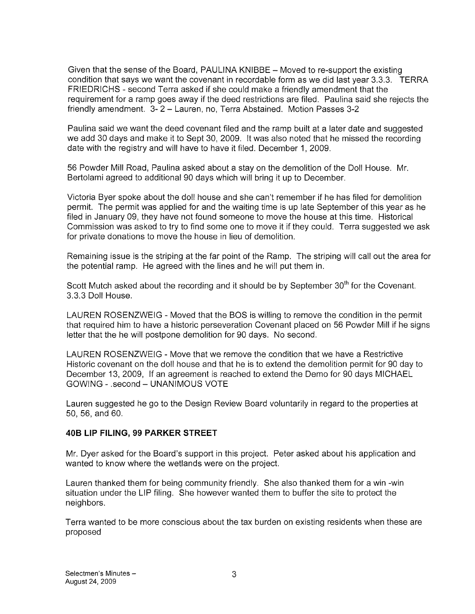Given that the sense of the Board, PAULINA KNIBBE — Moved to re-support the existing condition that says we want the covenant in recordable form as we did last year 3.3.3. TERRA FRIEDRICHS - second Terra asked if she could make a friendly amendment that the requirement for a ramp goes away if the deed restrictions are filed. Paulina said she rejects the friendly amendment. 3- 2 — Lauren, no, Terra Abstained. Motion Passes 3-2

Paulina said we want the deed covenant filed and the ramp built at a later date and suggested we add 30 days and make it to Sept 30, 2009. It was also noted that he missed the recording date with the registry and will have to have it filed. December 1, 2009.

56 Powder Mill Road, Paulina asked about a stay on the demolition of the Doll House. Mr. Bertolami agreed to additional 90 days which will bring it up to December.

Victoria Byer spoke about the doll house and she can't remember if he has filed for demolition permit. The permit was applied for and the waiting time is up late September of this year as he filed in January 09, they have not found someone to move the house at this time. Historical Commission was asked to try to find some one to move it if they could. Terra suggested we ask for private donations to move the house in lieu of demolition.

Remaining issue is the striping at the far point of the Ramp. The striping will call out the area for the potential ramp. He agreed with the lines and he will put them in.

Scott Mutch asked about the recording and it should be by September 30<sup>th</sup> for the Covenant. 3.3.3 Doll House.

LAUREN ROSENZWEIG - Moved that the BOS is willing to remove the condition in the permit that required him to have a historic perseveration Covenant placed on 56 Powder Mill if he signs letter that the he will postpone demolition for 90 days. No second.

LAUREN ROSENZWEIG -Move that we remove the condition that we have a Restrictive Historic covenant on the doll house and that he is to extend the demolition permit for 90 day to December 13, 2009, If an agreement is reached to extend the Demo for 90 days MICHAEL GOWING - .second — UNANIMOUS VOTE

Lauren suggested he go to the Design Review Board voluntarily in regard to the properties at 50, 56, and 60.

#### 40B LIP FILING, 99 PARKER STREET

Mr. Dyer asked for the Board's support in this project. Peter asked about his application and wanted to know where the wetlands were on the project.

Lauren thanked them for being community friendly. She also thanked them for a win -win situation under the LIP filing. She however wanted them to buffer the site to protect the neighbors.

Terra wanted to be more conscious about the tax burden on existing residents when these are proposed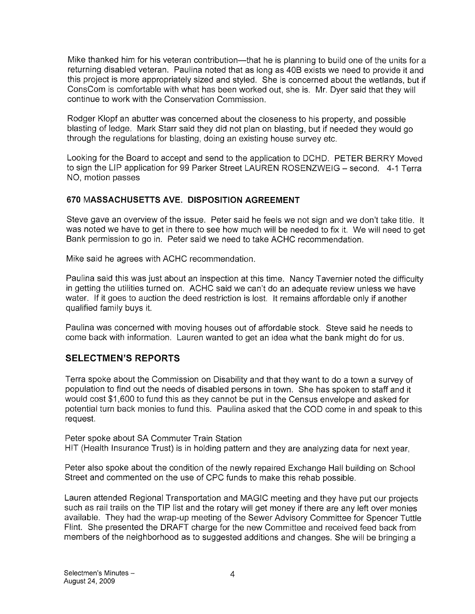Mike thanked him for his veteran contribution—that he is planning to build one of the units for a returning disabled veteran. Paulina noted that as long as 40B exists we need to provide it and this project is more appropriately sized and styled. She is concerned about the wetlands, but if ConsCom is comfortable with what has been worked out, she is. Mr. Dyer said that they will continue to work with the Conservation Commission.

Rodger Klopf an abutter was concerned about the closeness to his property, and possible blasting of ledge. Mark Starr said they did not plan on blasting, but if needed they would go through the regulations for blasting, doing an existing house survey etc.

Looking for the Board to accept and send to the application to DCHD. PETER BERRY Moved to sign the LIP application for 99 Parker Street LAUREN ROSENZWEIG — second. 4-1 Terra NO, motion passes

### 670 MASSACHUSETTS AVE. DISPOSITION AGREEMENT

Steve gave an overview of the issue. Peter said he feels we not sign and we don't take title. It was noted we have to get in there to see how much will be needed to fix it. We will need to get Bank permission to go in. Peter said we need to take ACHC recommendation.

Mike said he agrees with ACHC recommendation.

Paulina said this was just about an inspection at this time. Nancy Tavernier noted the difficulty in getting the utilities turned on. ACHC said we can't do an adequate review unless we have water. If it goes to auction the deed restriction is lost. It remains affordable only if another qualified family buys it.

Paulina was concerned with moving houses out of affordable stock. Steve said he needs to come back with information. Lauren wanted to get an idea what the bank might do for us.

## SELECTMEN'S REPORTS

Terra spoke about the Commission on Disability and that they want to do a town a survey of population to find out the needs of disabled persons in town. She has spoken to staff and it would cost \$1,600 to fund this as they cannot be put in the Census envelope and asked for potential turn back monies to fund this. Paulina asked that the COD come in and speak to this request.

Peter spoke about SA Commuter Train Station HIT (Health Insurance Trust) is in holding pattern and they are analyzing data for next year,

Peter also spoke about the condition of the newly repaired Exchange Hall building on School Street and commented on the use of CPC funds to make this rehab possible.

Lauren attended Regional Transportation and MAGIC meeting and they have put our projects such as rail trails on the TIP list and the rotary will get money if there are any left over monies available. They had the wrap-up meeting of the Sewer Advisory Committee for Spencer Tuttle Flint. She presented the DRAFT charge for the new Committee and received feed back from members of the neighborhood as to suggested additions and changes. She will be bringing a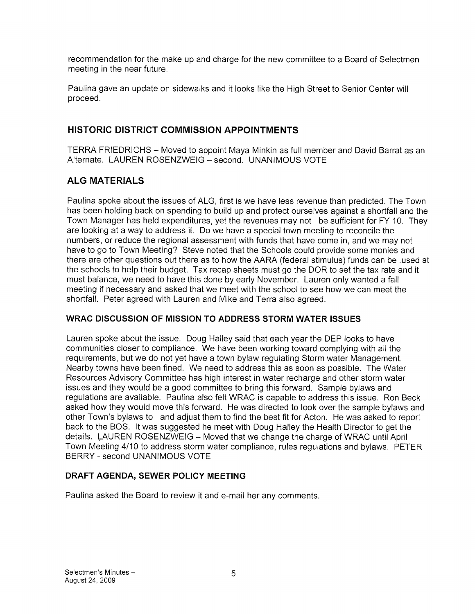recommendation for the make up and charge for the new committee to a Board of Selectmen meeting in the near future.

Paulina gave an update on sidewalks and it looks like the High Street to Senior Center will proceed.

## HISTORIC DISTRICT COMMISSION APPOINTMENTS

TERRA FRIEDRICHS – Moved to appoint Maya Minkin as full member and David Barrat as an Alternate. LAUREN ROSENZWEIG — second. UNANIMOUS VOTE

## ALG MATERIALS

Paulina spoke about the issues of ALG, first is we have less revenue than predicted. The Town has been holding back on spending to build up and protect ourselves against a shortfall and the Town Manager has held expenditures, yet the revenues may not be sufficient for FY 10. They are looking at a way to address it. Do we have a special town meeting to reconcile the numbers, or reduce the regional assessment with funds that have come in, and we may not have to go to Town Meeting? Steve noted that the Schools could provide some monies and there are other questions out there as to how the AARA (federal stimulus) funds can be .used at the schools to help their budget. Tax recap sheets must go the DOR to set the tax rate and it must balance, we need to have this done by early November. Lauren only wanted a fall meeting if necessary and asked that we meet with the school to see how we can meet the shortfall. Peter agreed with Lauren and Mike and Terra also agreed.

### WRAC DISCUSSION OF MISSION TO ADDRESS STORM WATER ISSUES

Lauren spoke about the issue. Doug Halley said that each year the DEP looks to have communities closer to compliance. We have been working toward complying with all the requirements, but we do not yet have a town bylaw regulating Storm water Management. Nearby towns have been fined. We need to address this as soon as possible. The Water Resources Advisory Committee has high interest in water recharge and other storm water issues and they would be a good committee to bring this forward. Sample bylaws and regulations are available. Paulina also felt WRAC is capable to address this issue. Ron Beck asked how they would move this forward. He was directed to look over the sample bylaws and other Town's bylaws to and adjust them to find the best fit for Acton. He was asked to report back to the BOS. It was suggested he meet with Doug Halley the Health Director to get the details. LAUREN ROSENZWEIG — Moved that we change the charge of WRAC until April Town Meeting 4/10 to address storm water compliance, rules regulations and bylaws. PETER BERRY - second UNANIMOUS VOTE

## DRAFT AGENDA, SEWER POLICY MEETING

Paulina asked the Board to review it and e-mail her any comments.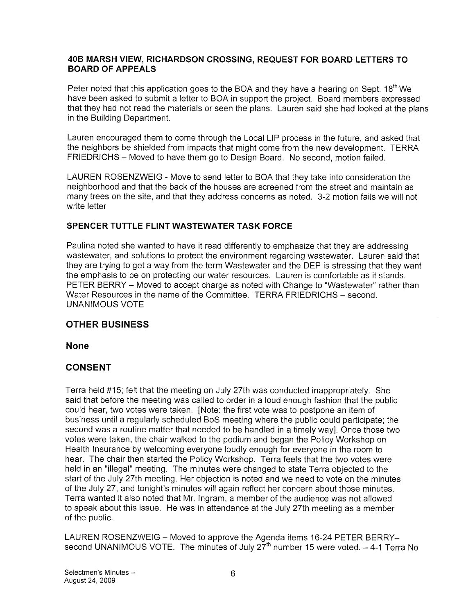### 40B MARSH VIEW, RICHARDSON CROSSING, REQUEST FOR BOARD LETTERS TO BOARD OF APPEALS

Peter noted that this application goes to the BOA and they have a hearing on Sept. 18th We have been asked to submit a letter to BOA in support the project. Board members expressed that they had not read the materials or seen the plans. Lauren said she had looked at the plans in the Building Department.

Lauren encouraged them to come through the Local LIP process in the future, and asked that the neighbors be shielded from impacts that might come from the new development. TERRA FRIEDRICHS — Moved to have them go to Design Board. No second, motion failed.

LAUREN ROSENZWEIG - Move to send letter to BOA that they take into consideration the neighborhood and that the back of the houses are screened from the street and maintain as many trees on the site, and that they address concerns as noted. 3-2 motion fails we will not write letter

## SPENCER TUTTLE FLINT WASTEWATER TASK FORCE

Paulina noted she wanted to have it read differently to emphasize that they are addressing wastewater, and solutions to protect the environment regarding wastewater. Lauren said that they are trying to get a way from the term Wastewater and the DEP is stressing that they want the emphasis to be on protecting our water resources. Lauren is comfortable as it stands. PETER BERRY — Moved to accept charge as noted with Change to "Wastewater" rather than Water Resources in the name of the Committee. TERRA FRIEDRICHS — second. UNANIMOUS VOTE

## OTHER BUSINESS

None

## CONSENT

Terra held #15; felt that the meeting on July 27th was conducted inappropriately. She said that before the meeting was called to order in a loud enough fashion that the public could hear, two votes were taken. [Note: the first vote was to postpone an item of business until a regularly scheduled BoS meeting where the public could participate; the second was a routine matter that needed to be handled in a timely way]. Once those two votes were taken, the chair walked to the podium and began the Policy Workshop on Health Insurance by welcoming everyone loudly enough for everyone in the room to hear. The chair then started the Policy Workshop. Terra feels that the two votes were held in an "illegal" meeting. The minutes were changed to state Terra objected to the start of the July 27th meeting. Her objection is noted and we need to vote on the minutes of the July 27, and tonight's minutes will again reflect her concern about those minutes. Terra wanted it also noted that Mr. Ingram, a member of the audience was not allowed to speak about this issue. He was in attendance at the July 27th meeting as a member of the public.

LAUREN ROSENZWEIG — Moved to approve the Agenda items 16-24 PETER BERRY second UNANIMOUS VOTE. The minutes of July  $27<sup>th</sup>$  number 15 were voted.  $-4-1$  Terra No